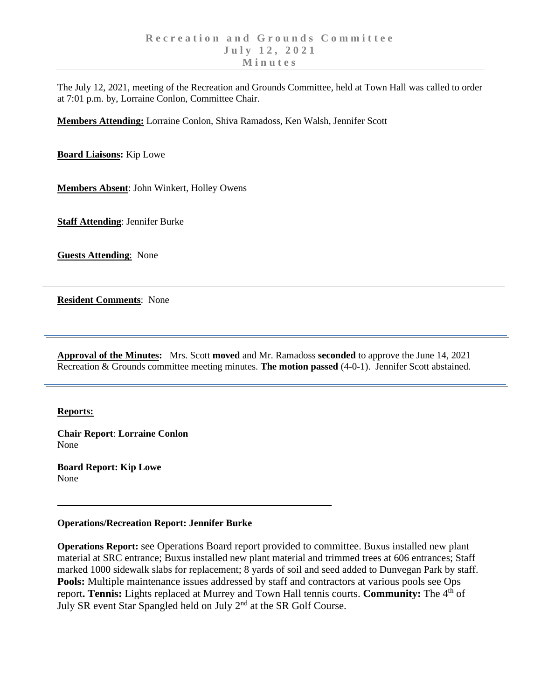The July 12, 2021, meeting of the Recreation and Grounds Committee, held at Town Hall was called to order at 7:01 p.m. by, Lorraine Conlon, Committee Chair.

**Members Attending:** Lorraine Conlon, Shiva Ramadoss, Ken Walsh, Jennifer Scott

**Board Liaisons:** Kip Lowe

**Members Absent**: John Winkert, Holley Owens

**Staff Attending**: Jennifer Burke

**Guests Attending**: None

**Resident Comments**: None

**Approval of the Minutes:** Mrs. Scott **moved** and Mr. Ramadoss **seconded** to approve the June 14, 2021 Recreation & Grounds committee meeting minutes. **The motion passed** (4-0-1). Jennifer Scott abstained.

## **Reports:**

**Chair Report**: **Lorraine Conlon** None

**Board Report: Kip Lowe** None

## **Operations/Recreation Report: Jennifer Burke**

**Operations Report:** see Operations Board report provided to committee. Buxus installed new plant material at SRC entrance; Buxus installed new plant material and trimmed trees at 606 entrances; Staff marked 1000 sidewalk slabs for replacement; 8 yards of soil and seed added to Dunvegan Park by staff. **Pools:** Multiple maintenance issues addressed by staff and contractors at various pools see Ops report. Tennis: Lights replaced at Murrey and Town Hall tennis courts. Community: The 4<sup>th</sup> of July SR event Star Spangled held on July 2<sup>nd</sup> at the SR Golf Course.